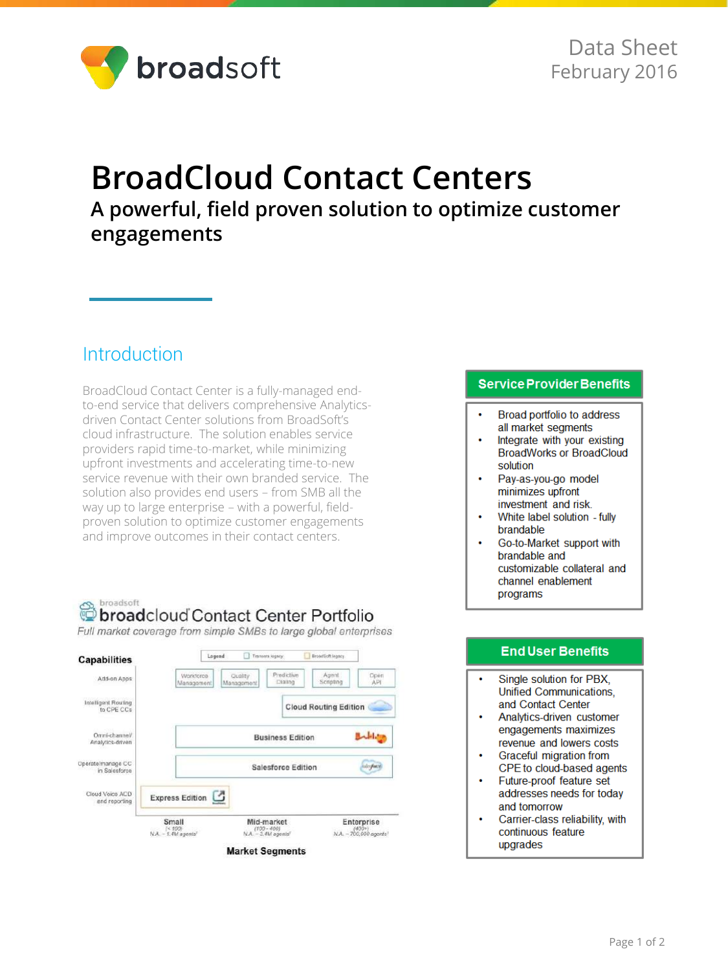

# **BroadCloud Contact Centers A powerful, field proven solution to optimize customer engagements**

### Introduction

BroadCloud Contact Center is a fully-managed endto-end service that delivers comprehensive Analyticsdriven Contact Center solutions from BroadSoft's cloud infrastructure. The solution enables service providers rapid time-to-market, while minimizing upfront investments and accelerating time-to-new service revenue with their own branded service. The solution also provides end users – from SMB all the way up to large enterprise – with a powerful, fieldproven solution to optimize customer engagements and improve outcomes in their contact centers.

#### broadsoft broadcloud Contact Center Portfolio

Full market coverage from simple SMBs to large global enterprises



#### **Service Provider Benefits**

- Broad portfolio to address all market segments
- Integrate with your existing **BroadWorks or BroadCloud** solution
- Pay-as-you-go model minimizes upfront investment and risk.
- $\bullet$ White label solution - fully brandable
- Go-to-Market support with brandable and customizable collateral and channel enablement programs

#### **End User Benefits**

- Single solution for PBX. Unified Communications. and Contact Center
- Analytics-driven customer engagements maximizes revenue and lowers costs
- Graceful migration from CPE to cloud-based agents
- Future-proof feature set addresses needs for today and tomorrow
- Carrier-class reliability, with continuous feature upgrades